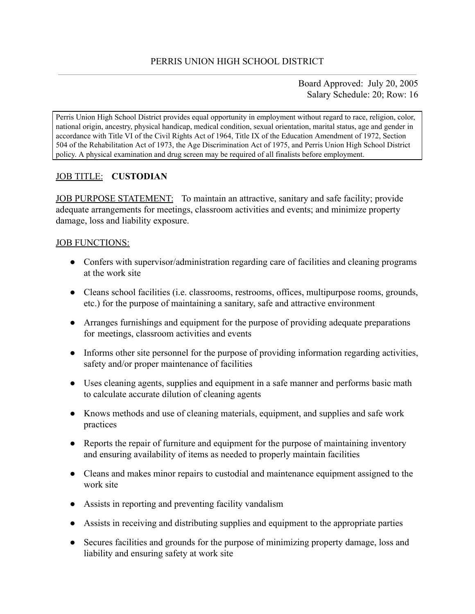Board Approved: July 20, 2005 Salary Schedule: 20; Row: 16

Perris Union High School District provides equal opportunity in employment without regard to race, religion, color, national origin, ancestry, physical handicap, medical condition, sexual orientation, marital status, age and gender in accordance with Title VI of the Civil Rights Act of 1964, Title IX of the Education Amendment of 1972, Section 504 of the Rehabilitation Act of 1973, the Age Discrimination Act of 1975, and Perris Union High School District policy. A physical examination and drug screen may be required of all finalists before employment.

# JOB TITLE: **CUSTODIAN**

JOB PURPOSE STATEMENT: To maintain an attractive, sanitary and safe facility; provide adequate arrangements for meetings, classroom activities and events; and minimize property damage, loss and liability exposure.

### JOB FUNCTIONS:

- Confers with supervisor/administration regarding care of facilities and cleaning programs at the work site
- Cleans school facilities (i.e. classrooms, restrooms, offices, multipurpose rooms, grounds, etc.) for the purpose of maintaining a sanitary, safe and attractive environment
- Arranges furnishings and equipment for the purpose of providing adequate preparations for meetings, classroom activities and events
- Informs other site personnel for the purpose of providing information regarding activities, safety and/or proper maintenance of facilities
- Uses cleaning agents, supplies and equipment in a safe manner and performs basic math to calculate accurate dilution of cleaning agents
- Knows methods and use of cleaning materials, equipment, and supplies and safe work practices
- Reports the repair of furniture and equipment for the purpose of maintaining inventory and ensuring availability of items as needed to properly maintain facilities
- Cleans and makes minor repairs to custodial and maintenance equipment assigned to the work site
- Assists in reporting and preventing facility vandalism
- Assists in receiving and distributing supplies and equipment to the appropriate parties
- Secures facilities and grounds for the purpose of minimizing property damage, loss and liability and ensuring safety at work site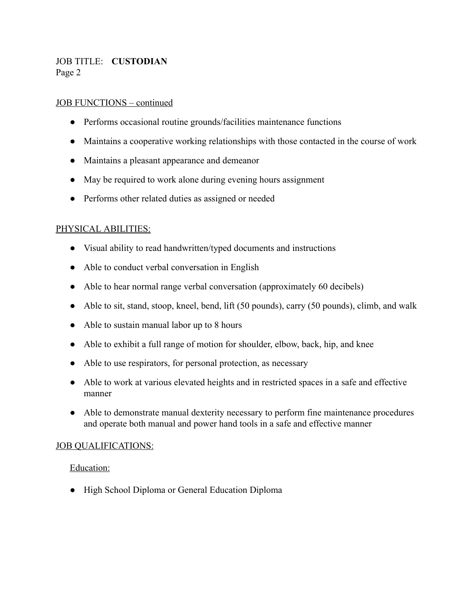JOB TITLE: **CUSTODIAN** Page 2

#### JOB FUNCTIONS – continued

- Performs occasional routine grounds/facilities maintenance functions
- Maintains a cooperative working relationships with those contacted in the course of work
- Maintains a pleasant appearance and demeanor
- May be required to work alone during evening hours assignment
- Performs other related duties as assigned or needed

#### PHYSICAL ABILITIES:

- Visual ability to read handwritten/typed documents and instructions
- Able to conduct verbal conversation in English
- Able to hear normal range verbal conversation (approximately 60 decibels)
- Able to sit, stand, stoop, kneel, bend, lift (50 pounds), carry (50 pounds), climb, and walk
- Able to sustain manual labor up to 8 hours
- Able to exhibit a full range of motion for shoulder, elbow, back, hip, and knee
- Able to use respirators, for personal protection, as necessary
- Able to work at various elevated heights and in restricted spaces in a safe and effective manner
- Able to demonstrate manual dexterity necessary to perform fine maintenance procedures and operate both manual and power hand tools in a safe and effective manner

#### JOB QUALIFICATIONS:

#### Education:

● High School Diploma or General Education Diploma